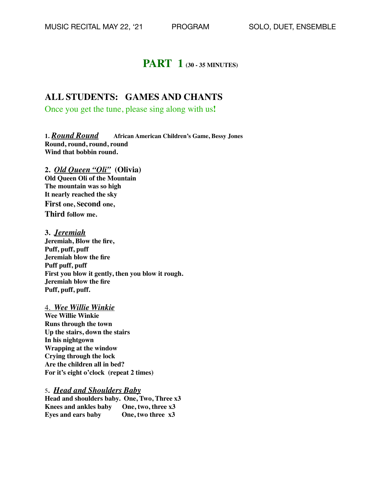# **PART 1 (30 - 35 MINUTES)**

### **ALL STUDENTS: GAMES AND CHANTS**

Once you get the tune, please sing along with us**!**

**1.** *Round Round* **African American Children's Game, Bessy Jones Round, round, round, round Wind that bobbin round.**

**2.** *Old Queen "Oli"* **(Olivia) Old Queen Oli of the Mountain The mountain was so high It nearly reached the sky**

**First one, Second one, Third follow me.**

**3.** *Jeremiah*  **Jeremiah, Blow the fire, Puff, puff, puff Jeremiah blow the fire Puff puff, puff First you blow it gently, then you blow it rough. Jeremiah blow the fire Puff, puff, puff.**

4. *Wee Willie Winkie*

**Wee Willie Winkie Runs through the town Up the stairs, down the stairs In his nightgown Wrapping at the window Crying through the lock Are the children all in bed? For it's eight o'clock (repeat 2 times)**

5**.** *Head and Shoulders Baby* **Head and shoulders baby. One, Two, Three x3 Knees and ankles baby One, two, three x3 Eyes and ears baby One, two three x3**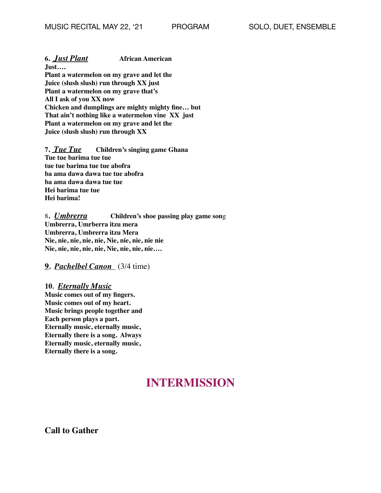**6.** *Just Plant* **African American**

**Just…. Plant a watermelon on my grave and let the Juice (slush slush) run through XX just Plant a watermelon on my grave that's All I ask of you XX now Chicken and dumplings are mighty mighty fine… but That ain't nothing like a watermelon vine XX just Plant a watermelon on my grave and let the Juice (slush slush) run through XX**

**7.** *Tue Tue* **Children's singing game Ghana Tue tue barima tue tue tue tue barima tue tue abofra ba ama dawa dawa tue tue abofra ba ama dawa dawa tue tue Hei barima tue tue Hei barima!**

8**.** *Umbrerra* **Children's shoe passing play game son**g **Umbrerra, Umrberra itzu mera Umbrerra, Umbrerra itzu Mera Nie, nie, nie, nie, nie, Nie, nie, nie, nie nie Nie, nie, nie, nie, nie, Nie, nie, nie, nie….**

**9.** *Pachelbel Canon* (3/4 time)

**10***. Eternally Music* **Music comes out of my fingers. Music comes out of my heart. Music brings people together and Each person plays a part. Eternally music, eternally music, Eternally there is a song. Always Eternally music, eternally music, Eternally there is a song.**

# **INTERMISSION**

**Call to Gather**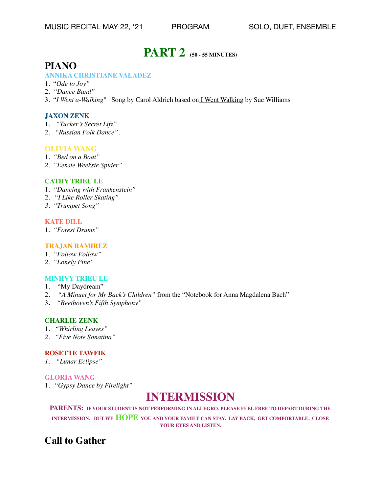# **PART 2 (50 - 55 MINUTES)**

## **PIANO**

#### **ANNIKA CHRISTIANE VALADEZ**

- 1. "*Ode to Joy"*
- 2. *"Dance Band"*
- 3. "*I Went a-Walking"* Song by Carol Aldrich based on I Went Walking by Sue Williams

#### **JAXON ZENK**

- 1. *"Tucker's Secret Lif*e"
- 2. *"Russian Folk Dance".*

#### **OLIVIA WANG**

- 1. *"Bed on a Boat"*
- *2. "Eensie Weeksie Spider"*

#### **CATHY TRIEU LE**

- 1. *"Dancing with Frankenstein"*
- 2. "*I Like Roller Skating"*
- *3. "Trumpet Song"*

#### **KATE DILL**

1. *"Forest Drums"*

#### **TRAJAN RAMIREZ**

- 1. *"Follow Follow"*
- *2. "Lonely Pine"*

#### **MINHVY TRIEU LE**

- 1. "My Daydream"
- 2. *"A Minuet for Mr Back's Children"* from the "Notebook for Anna Magdalena Bach"
- 3**.** *"Beethoven's Fifth Symphony"*

#### **CHARLIE ZENK**

- 1. *"Whirling Leaves"*
- 2. *"Five Note Sonatina"*

#### **ROSETTE TAWFIK**

*1. "Lunar Eclipse"* 

#### **GLORIA WANG**

1. "*Gypsy Dance by Firelight"*

# **INTERMISSION**

### **PARENTS: IF YOUR STUDENT IS NOT PERFORMING IN ALLEGRO, PLEASE FEEL FREE TO DEPART DURING THE**

**INTERMISSION. BUT WE HOPE YOU AND YOUR FAMILY CAN STAY. LAY BACK, GET COMFORTABLE, CLOSE YOUR EYES AND LISTEN.** 

## **Call to Gather**